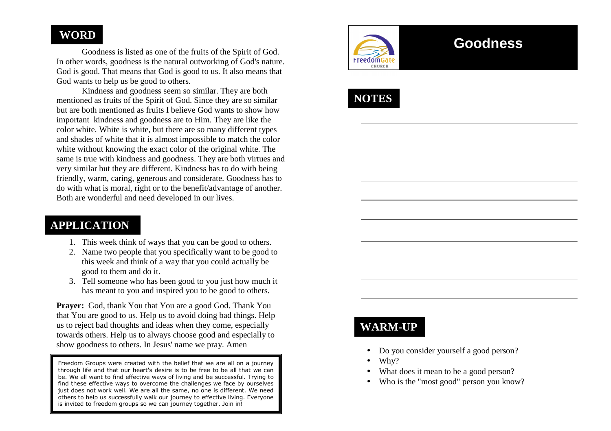#### **WORD**

 Goodness is listed as one of the fruits of the Spirit of God. In other words, goodness is the natural outworking of God's nature. God is good. That means that God is good to us. It also means that God wants to help us be good to others.

 Kindness and goodness seem so similar. They are both mentioned as fruits of the Spirit of God. Since they are so similar but are both mentioned as fruits I believe God wants to show how important kindness and goodness are to Him. They are like the color white. White is white, but there are so many different types and shades of white that it is almost impossible to match the color white without knowing the exact color of the original white. The same is true with kindness and goodness. They are both virtues and very similar but they are different. Kindness has to do with being friendly, warm, caring, generous and considerate. Goodness has to do with what is moral, right or to the benefit/advantage of another. Both are wonderful and need developed in our lives.

#### **APPLICATION**

- 1. This week think of ways that you can be good to others.
- 2. Name two people that you specifically want to be good to this week and think of a way that you could actually be good to them and do it.
- 3. Tell someone who has been good to you just how much it has meant to you and inspired you to be good to others.

**Prayer:** God, thank You that You are a good God. Thank You that You are good to us. Help us to avoid doing bad things. Help us to reject bad thoughts and ideas when they come, especially towards others. Help us to always choose good and especially to show goodness to others. In Jesus' name we pray. Amen

Freedom Groups were created with the belief that we are all on a journey through life and that our heart's desire is to be free to be all that we can be. We all want to find effective ways of living and be successful. Trying to find these effective ways to overcome the challenges we face by ourselves just does not work well. We are all the same, no one is different. We need others to help us successfully walk our journey to effective living. Everyone is invited to freedom groups so we can journey together. Join in!



# **Goodness**

**NOTES** 

# **WARM-UP**

- •Do you consider yourself a good person?
- •Why?
- •What does it mean to be a good person?
- Who is the "most good" person you know?